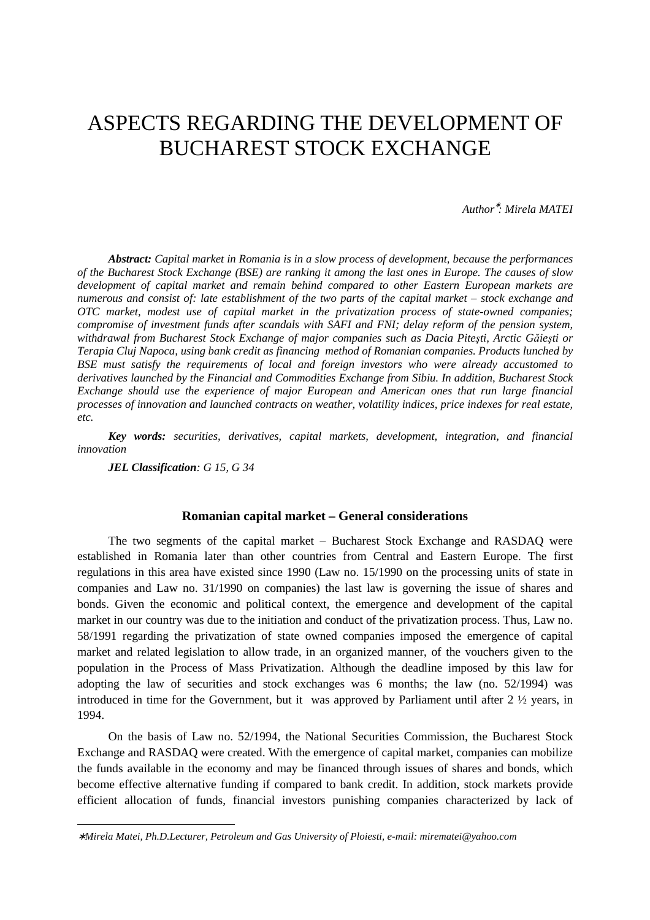# ASPECTS REGARDING THE DEVELOPMENT OF BUCHAREST STOCK EXCHANGE

*Author*<sup>∗</sup> *: Mirela MATEI* 

*Abstract: Capital market in Romania is in a slow process of development, because the performances of the Bucharest Stock Exchange (BSE) are ranking it among the last ones in Europe. The causes of slow development of capital market and remain behind compared to other Eastern European markets are numerous and consist of: late establishment of the two parts of the capital market – stock exchange and OTC market, modest use of capital market in the privatization process of state-owned companies; compromise of investment funds after scandals with SAFI and FNI; delay reform of the pension system, withdrawal from Bucharest Stock Exchange of major companies such as Dacia Pite*ş*ti, Arctic G*ă*ie*ş*ti or Terapia Cluj Napoca, using bank credit as financing method of Romanian companies. Products lunched by BSE must satisfy the requirements of local and foreign investors who were already accustomed to derivatives launched by the Financial and Commodities Exchange from Sibiu. In addition, Bucharest Stock Exchange should use the experience of major European and American ones that run large financial processes of innovation and launched contracts on weather, volatility indices, price indexes for real estate, etc.* 

*Key words: securities, derivatives, capital markets, development, integration, and financial innovation* 

*JEL Classification: G 15, G 34* 

-

## **Romanian capital market – General considerations**

The two segments of the capital market – Bucharest Stock Exchange and RASDAQ were established in Romania later than other countries from Central and Eastern Europe. The first regulations in this area have existed since 1990 (Law no. 15/1990 on the processing units of state in companies and Law no. 31/1990 on companies) the last law is governing the issue of shares and bonds. Given the economic and political context, the emergence and development of the capital market in our country was due to the initiation and conduct of the privatization process. Thus, Law no. 58/1991 regarding the privatization of state owned companies imposed the emergence of capital market and related legislation to allow trade, in an organized manner, of the vouchers given to the population in the Process of Mass Privatization. Although the deadline imposed by this law for adopting the law of securities and stock exchanges was 6 months; the law (no. 52/1994) was introduced in time for the Government, but it was approved by Parliament until after 2 ½ years, in 1994.

On the basis of Law no. 52/1994, the National Securities Commission, the Bucharest Stock Exchange and RASDAQ were created. With the emergence of capital market, companies can mobilize the funds available in the economy and may be financed through issues of shares and bonds, which become effective alternative funding if compared to bank credit. In addition, stock markets provide efficient allocation of funds, financial investors punishing companies characterized by lack of

<sup>∗</sup> *Mirela Matei, Ph.D.Lecturer, Petroleum and Gas University of Ploiesti, e-mail: mirematei@yahoo.com*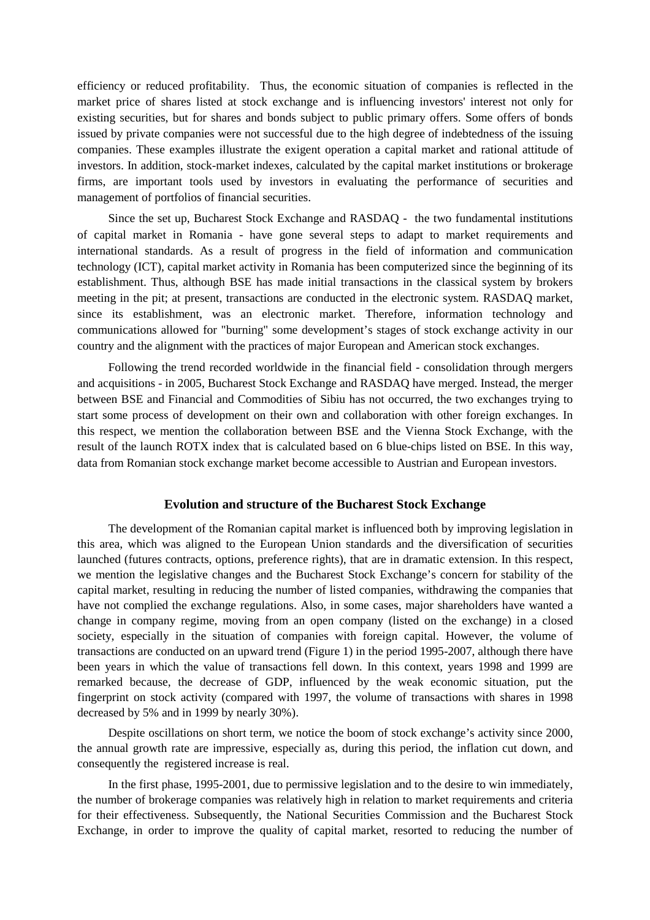efficiency or reduced profitability. Thus, the economic situation of companies is reflected in the market price of shares listed at stock exchange and is influencing investors' interest not only for existing securities, but for shares and bonds subject to public primary offers. Some offers of bonds issued by private companies were not successful due to the high degree of indebtedness of the issuing companies. These examples illustrate the exigent operation a capital market and rational attitude of investors. In addition, stock-market indexes, calculated by the capital market institutions or brokerage firms, are important tools used by investors in evaluating the performance of securities and management of portfolios of financial securities.

Since the set up, Bucharest Stock Exchange and RASDAQ - the two fundamental institutions of capital market in Romania - have gone several steps to adapt to market requirements and international standards. As a result of progress in the field of information and communication technology (ICT), capital market activity in Romania has been computerized since the beginning of its establishment. Thus, although BSE has made initial transactions in the classical system by brokers meeting in the pit; at present, transactions are conducted in the electronic system. RASDAQ market, since its establishment, was an electronic market. Therefore, information technology and communications allowed for "burning" some development's stages of stock exchange activity in our country and the alignment with the practices of major European and American stock exchanges.

Following the trend recorded worldwide in the financial field - consolidation through mergers and acquisitions - in 2005, Bucharest Stock Exchange and RASDAQ have merged. Instead, the merger between BSE and Financial and Commodities of Sibiu has not occurred, the two exchanges trying to start some process of development on their own and collaboration with other foreign exchanges. In this respect, we mention the collaboration between BSE and the Vienna Stock Exchange, with the result of the launch ROTX index that is calculated based on 6 blue-chips listed on BSE. In this way, data from Romanian stock exchange market become accessible to Austrian and European investors.

# **Evolution and structure of the Bucharest Stock Exchange**

The development of the Romanian capital market is influenced both by improving legislation in this area, which was aligned to the European Union standards and the diversification of securities launched (futures contracts, options, preference rights), that are in dramatic extension. In this respect, we mention the legislative changes and the Bucharest Stock Exchange's concern for stability of the capital market, resulting in reducing the number of listed companies, withdrawing the companies that have not complied the exchange regulations. Also, in some cases, major shareholders have wanted a change in company regime, moving from an open company (listed on the exchange) in a closed society, especially in the situation of companies with foreign capital. However, the volume of transactions are conducted on an upward trend (Figure 1) in the period 1995-2007, although there have been years in which the value of transactions fell down. In this context, years 1998 and 1999 are remarked because, the decrease of GDP, influenced by the weak economic situation, put the fingerprint on stock activity (compared with 1997, the volume of transactions with shares in 1998 decreased by 5% and in 1999 by nearly 30%).

Despite oscillations on short term, we notice the boom of stock exchange's activity since 2000, the annual growth rate are impressive, especially as, during this period, the inflation cut down, and consequently the registered increase is real.

In the first phase, 1995-2001, due to permissive legislation and to the desire to win immediately, the number of brokerage companies was relatively high in relation to market requirements and criteria for their effectiveness. Subsequently, the National Securities Commission and the Bucharest Stock Exchange, in order to improve the quality of capital market, resorted to reducing the number of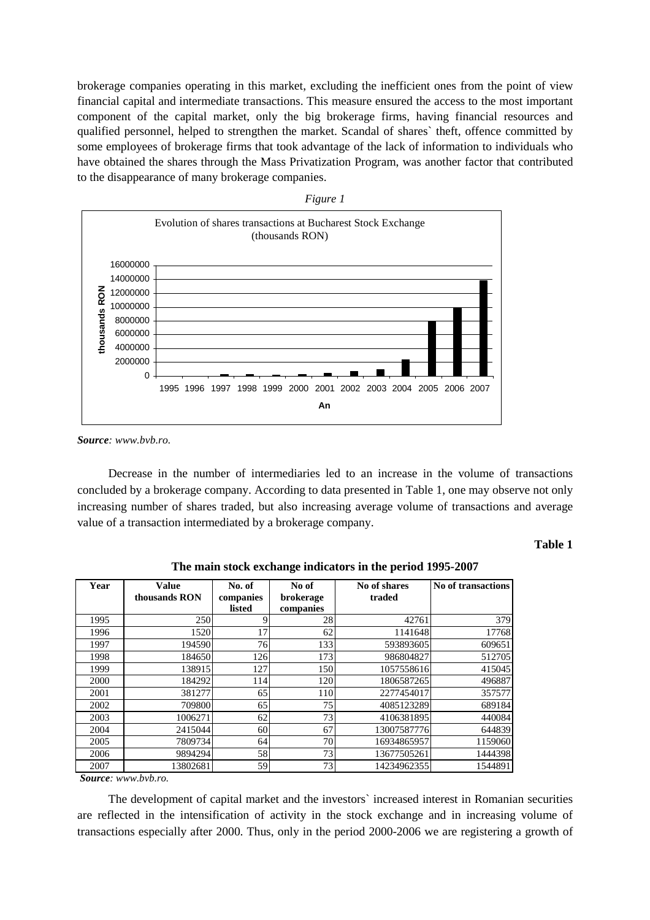brokerage companies operating in this market, excluding the inefficient ones from the point of view financial capital and intermediate transactions. This measure ensured the access to the most important component of the capital market, only the big brokerage firms, having financial resources and qualified personnel, helped to strengthen the market. Scandal of shares` theft, offence committed by some employees of brokerage firms that took advantage of the lack of information to individuals who have obtained the shares through the Mass Privatization Program, was another factor that contributed to the disappearance of many brokerage companies.



*Source: www.bvb.ro.* 

Decrease in the number of intermediaries led to an increase in the volume of transactions concluded by a brokerage company. According to data presented in Table 1, one may observe not only increasing number of shares traded, but also increasing average volume of transactions and average value of a transaction intermediated by a brokerage company.

# **Table 1**

| Year | <b>Value</b><br>thousands RON | No. of<br>companies<br>listed | No of<br>brokerage<br>companies | No of shares<br>traded | No of transactions |
|------|-------------------------------|-------------------------------|---------------------------------|------------------------|--------------------|
| 1995 | 250                           | 9                             | 28                              | 42761                  | 379                |
| 1996 | 1520                          | 17                            | 62                              | 1141648                | 17768              |
| 1997 | 194590                        | 76                            | 133                             | 593893605              | 609651             |
| 1998 | 184650                        | 126                           | 173                             | 986804827              | 512705             |
| 1999 | 138915                        | 127                           | 150                             | 1057558616             | 415045             |
| 2000 | 184292                        | 114                           | 120                             | 1806587265             | 496887             |
| 2001 | 381277                        | 65                            | 110                             | 2277454017             | 357577             |
| 2002 | 709800                        | 65                            | 75                              | 4085123289             | 689184             |
| 2003 | 1006271                       | 62                            | 73                              | 4106381895             | 440084             |
| 2004 | 2415044                       | 60 <sup>l</sup>               | 67                              | 13007587776            | 644839             |
| 2005 | 7809734                       | 64                            | 70                              | 16934865957            | 1159060            |
| 2006 | 9894294                       | 58                            | 73                              | 13677505261            | 1444398            |
| 2007 | 13802681                      | 59                            | 73                              | 14234962355            | 1544891            |

# **The main stock exchange indicators in the period 1995-2007**

*Source: www.bvb.ro.* 

The development of capital market and the investors` increased interest in Romanian securities are reflected in the intensification of activity in the stock exchange and in increasing volume of transactions especially after 2000. Thus, only in the period 2000-2006 we are registering a growth of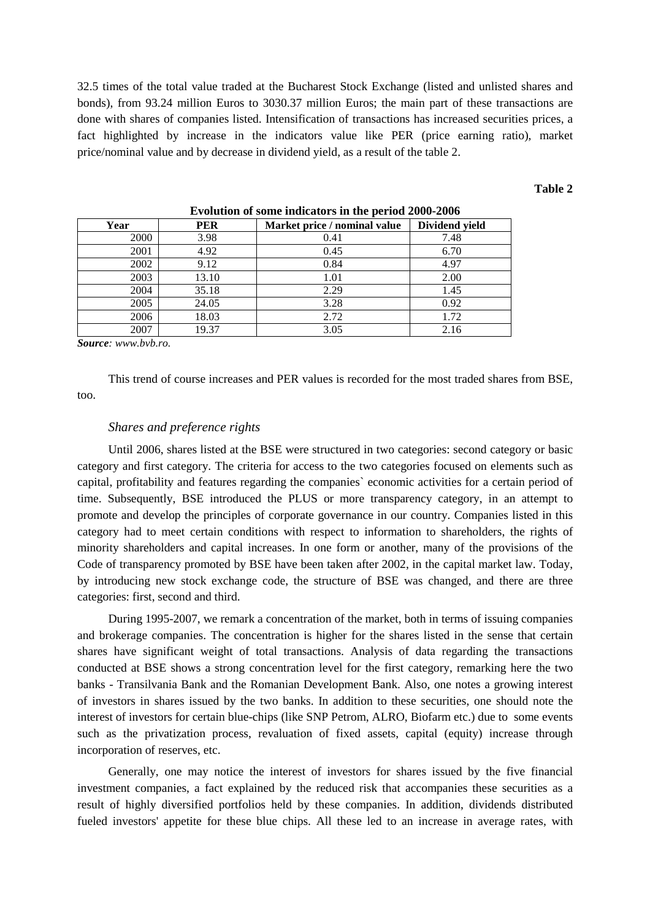32.5 times of the total value traded at the Bucharest Stock Exchange (listed and unlisted shares and bonds), from 93.24 million Euros to 3030.37 million Euros; the main part of these transactions are done with shares of companies listed. Intensification of transactions has increased securities prices, a fact highlighted by increase in the indicators value like PER (price earning ratio), market price/nominal value and by decrease in dividend yield, as a result of the table 2.

## **Table 2**

| Year | <b>PER</b> | Market price / nominal value | Dividend yield |
|------|------------|------------------------------|----------------|
| 2000 | 3.98       | 0.41                         | 7.48           |
| 2001 | 4.92       | 0.45                         | 6.70           |
| 2002 | 9.12       | 0.84                         | 4.97           |
| 2003 | 13.10      | 1.01                         | 2.00           |
| 2004 | 35.18      | 2.29                         | 1.45           |
| 2005 | 24.05      | 3.28                         | 0.92           |
| 2006 | 18.03      | 2.72                         | 1.72           |
| 2007 | 19.37      | 3.05                         | 2.16           |

**Evolution of some indicators in the period 2000-2006** 

*Source: www.bvb.ro.* 

This trend of course increases and PER values is recorded for the most traded shares from BSE, too.

# *Shares and preference rights*

Until 2006, shares listed at the BSE were structured in two categories: second category or basic category and first category. The criteria for access to the two categories focused on elements such as capital, profitability and features regarding the companies` economic activities for a certain period of time. Subsequently, BSE introduced the PLUS or more transparency category, in an attempt to promote and develop the principles of corporate governance in our country. Companies listed in this category had to meet certain conditions with respect to information to shareholders, the rights of minority shareholders and capital increases. In one form or another, many of the provisions of the Code of transparency promoted by BSE have been taken after 2002, in the capital market law. Today, by introducing new stock exchange code, the structure of BSE was changed, and there are three categories: first, second and third.

During 1995-2007, we remark a concentration of the market, both in terms of issuing companies and brokerage companies. The concentration is higher for the shares listed in the sense that certain shares have significant weight of total transactions. Analysis of data regarding the transactions conducted at BSE shows a strong concentration level for the first category, remarking here the two banks - Transilvania Bank and the Romanian Development Bank. Also, one notes a growing interest of investors in shares issued by the two banks. In addition to these securities, one should note the interest of investors for certain blue-chips (like SNP Petrom, ALRO, Biofarm etc.) due to some events such as the privatization process, revaluation of fixed assets, capital (equity) increase through incorporation of reserves, etc.

Generally, one may notice the interest of investors for shares issued by the five financial investment companies, a fact explained by the reduced risk that accompanies these securities as a result of highly diversified portfolios held by these companies. In addition, dividends distributed fueled investors' appetite for these blue chips. All these led to an increase in average rates, with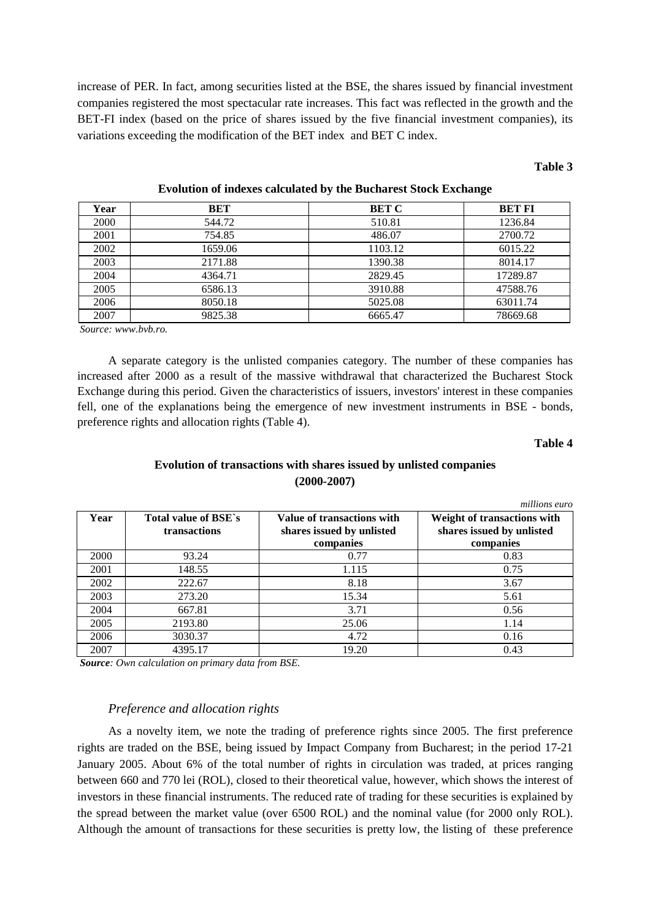increase of PER. In fact, among securities listed at the BSE, the shares issued by financial investment companies registered the most spectacular rate increases. This fact was reflected in the growth and the BET-FI index (based on the price of shares issued by the five financial investment companies), its variations exceeding the modification of the BET index and BET C index.

## **Table 3**

| Year | BET     | <b>BET C</b> | <b>BET FI</b> |
|------|---------|--------------|---------------|
| 2000 | 544.72  | 510.81       | 1236.84       |
| 2001 | 754.85  | 486.07       | 2700.72       |
| 2002 | 1659.06 | 1103.12      | 6015.22       |
| 2003 | 2171.88 | 1390.38      | 8014.17       |
| 2004 | 4364.71 | 2829.45      | 17289.87      |
| 2005 | 6586.13 | 3910.88      | 47588.76      |
| 2006 | 8050.18 | 5025.08      | 63011.74      |
| 2007 | 9825.38 | 6665.47      | 78669.68      |

**Evolution of indexes calculated by the Bucharest Stock Exchange** 

 *Source: www.bvb.ro.* 

A separate category is the unlisted companies category. The number of these companies has increased after 2000 as a result of the massive withdrawal that characterized the Bucharest Stock Exchange during this period. Given the characteristics of issuers, investors' interest in these companies fell, one of the explanations being the emergence of new investment instruments in BSE - bonds, preference rights and allocation rights (Table 4).

**Table 4** 

# **Evolution of transactions with shares issued by unlisted companies (2000-2007)**

|      |                                      |                                                                      | millions euro                                                         |
|------|--------------------------------------|----------------------------------------------------------------------|-----------------------------------------------------------------------|
| Year | Total value of BSE's<br>transactions | Value of transactions with<br>shares issued by unlisted<br>companies | Weight of transactions with<br>shares issued by unlisted<br>companies |
| 2000 | 93.24                                | 0.77                                                                 | 0.83                                                                  |
| 2001 | 148.55                               | 1.115                                                                | 0.75                                                                  |
| 2002 | 222.67                               | 8.18                                                                 | 3.67                                                                  |
| 2003 | 273.20                               | 15.34                                                                | 5.61                                                                  |
| 2004 | 667.81                               | 3.71                                                                 | 0.56                                                                  |
| 2005 | 2193.80                              | 25.06                                                                | 1.14                                                                  |
| 2006 | 3030.37                              | 4.72                                                                 | 0.16                                                                  |
| 2007 | 4395.17                              | 19.20                                                                | 0.43                                                                  |

 *Source: Own calculation on primary data from BSE.* 

# *Preference and allocation rights*

As a novelty item, we note the trading of preference rights since 2005. The first preference rights are traded on the BSE, being issued by Impact Company from Bucharest; in the period 17-21 January 2005. About 6% of the total number of rights in circulation was traded, at prices ranging between 660 and 770 lei (ROL), closed to their theoretical value, however, which shows the interest of investors in these financial instruments. The reduced rate of trading for these securities is explained by the spread between the market value (over 6500 ROL) and the nominal value (for 2000 only ROL). Although the amount of transactions for these securities is pretty low, the listing of these preference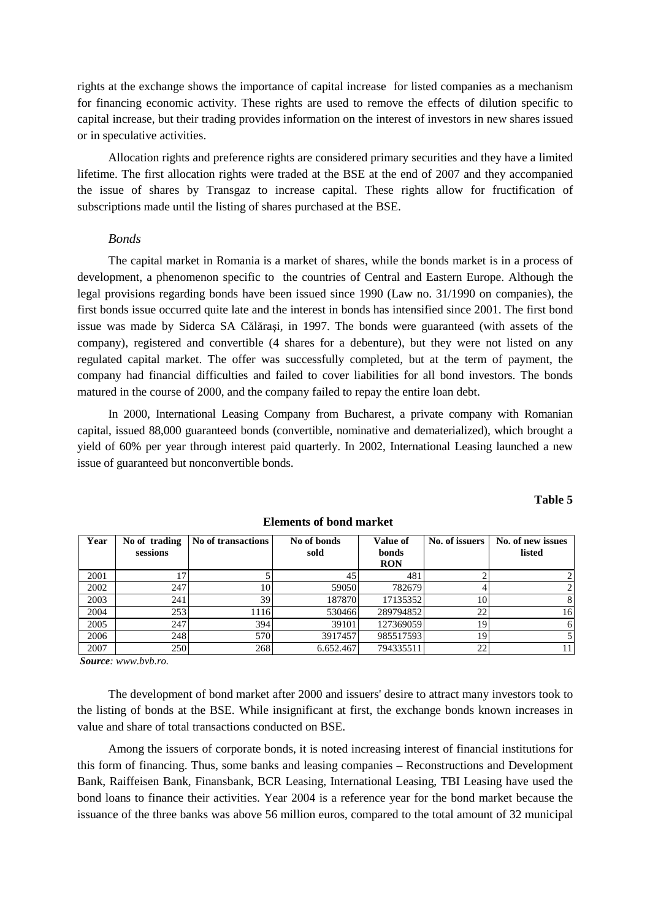rights at the exchange shows the importance of capital increase for listed companies as a mechanism for financing economic activity. These rights are used to remove the effects of dilution specific to capital increase, but their trading provides information on the interest of investors in new shares issued or in speculative activities.

Allocation rights and preference rights are considered primary securities and they have a limited lifetime. The first allocation rights were traded at the BSE at the end of 2007 and they accompanied the issue of shares by Transgaz to increase capital. These rights allow for fructification of subscriptions made until the listing of shares purchased at the BSE.

# *Bonds*

The capital market in Romania is a market of shares, while the bonds market is in a process of development, a phenomenon specific to the countries of Central and Eastern Europe. Although the legal provisions regarding bonds have been issued since 1990 (Law no. 31/1990 on companies), the first bonds issue occurred quite late and the interest in bonds has intensified since 2001. The first bond issue was made by Siderca SA Călăraşi, in 1997. The bonds were guaranteed (with assets of the company), registered and convertible (4 shares for a debenture), but they were not listed on any regulated capital market. The offer was successfully completed, but at the term of payment, the company had financial difficulties and failed to cover liabilities for all bond investors. The bonds matured in the course of 2000, and the company failed to repay the entire loan debt.

In 2000, International Leasing Company from Bucharest, a private company with Romanian capital, issued 88,000 guaranteed bonds (convertible, nominative and dematerialized), which brought a yield of 60% per year through interest paid quarterly. In 2002, International Leasing launched a new issue of guaranteed but nonconvertible bonds.

| Year | No of trading | No of transactions | No of bonds | <b>Value of</b> | No. of issuers | No. of new issues |
|------|---------------|--------------------|-------------|-----------------|----------------|-------------------|
|      | sessions      |                    | sold        | <b>bonds</b>    |                | listed            |
|      |               |                    |             | <b>RON</b>      |                |                   |
| 2001 |               |                    | 45          | 481             |                |                   |
| 2002 | 247           | 10                 | 59050       | 782679          |                |                   |
| 2003 | 241           | 39                 | 187870      | 17135352        | 10             | 8                 |
| 2004 | 253           | 1116               | 530466      | 289794852       | 22             | 16                |
| 2005 | 247           | 394                | 39101       | 127369059       | 19             | 6                 |
| 2006 | 248           | 570                | 3917457     | 985517593       | 19             |                   |
| 2007 | 250           | 268                | 6.652.467   | 794335511       | 22             | 11                |

## **Elements of bond market**

 *Source: www.bvb.ro.*

The development of bond market after 2000 and issuers' desire to attract many investors took to the listing of bonds at the BSE. While insignificant at first, the exchange bonds known increases in value and share of total transactions conducted on BSE.

Among the issuers of corporate bonds, it is noted increasing interest of financial institutions for this form of financing. Thus, some banks and leasing companies – Reconstructions and Development Bank, Raiffeisen Bank, Finansbank, BCR Leasing, International Leasing, TBI Leasing have used the bond loans to finance their activities. Year 2004 is a reference year for the bond market because the issuance of the three banks was above 56 million euros, compared to the total amount of 32 municipal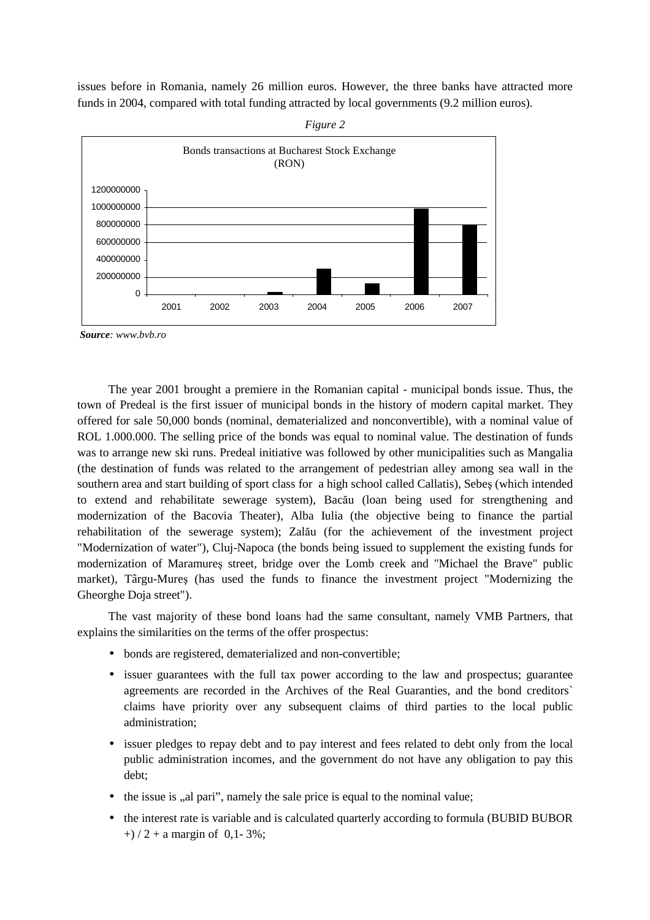issues before in Romania, namely 26 million euros. However, the three banks have attracted more funds in 2004, compared with total funding attracted by local governments (9.2 million euros).



*Figure 2* 

*Source: www.bvb.ro* 

The year 2001 brought a premiere in the Romanian capital - municipal bonds issue. Thus, the town of Predeal is the first issuer of municipal bonds in the history of modern capital market. They offered for sale 50,000 bonds (nominal, dematerialized and nonconvertible), with a nominal value of ROL 1.000.000. The selling price of the bonds was equal to nominal value. The destination of funds was to arrange new ski runs. Predeal initiative was followed by other municipalities such as Mangalia (the destination of funds was related to the arrangement of pedestrian alley among sea wall in the southern area and start building of sport class for a high school called Callatis), Sebeş (which intended to extend and rehabilitate sewerage system), Bacău (loan being used for strengthening and modernization of the Bacovia Theater), Alba Iulia (the objective being to finance the partial rehabilitation of the sewerage system); Zalău (for the achievement of the investment project "Modernization of water"), Cluj-Napoca (the bonds being issued to supplement the existing funds for modernization of Maramureş street, bridge over the Lomb creek and "Michael the Brave" public market), Târgu-Mureş (has used the funds to finance the investment project "Modernizing the Gheorghe Doja street").

The vast majority of these bond loans had the same consultant, namely VMB Partners, that explains the similarities on the terms of the offer prospectus:

- bonds are registered, dematerialized and non-convertible;
- issuer guarantees with the full tax power according to the law and prospectus; guarantee agreements are recorded in the Archives of the Real Guaranties, and the bond creditors` claims have priority over any subsequent claims of third parties to the local public administration;
- issuer pledges to repay debt and to pay interest and fees related to debt only from the local public administration incomes, and the government do not have any obligation to pay this debt;
- $\bullet$  the issue is ...al pari", namely the sale price is equal to the nominal value;
- the interest rate is variable and is calculated quarterly according to formula (BUBID BUBOR  $+$ ) / 2 + a margin of 0,1 - 3%;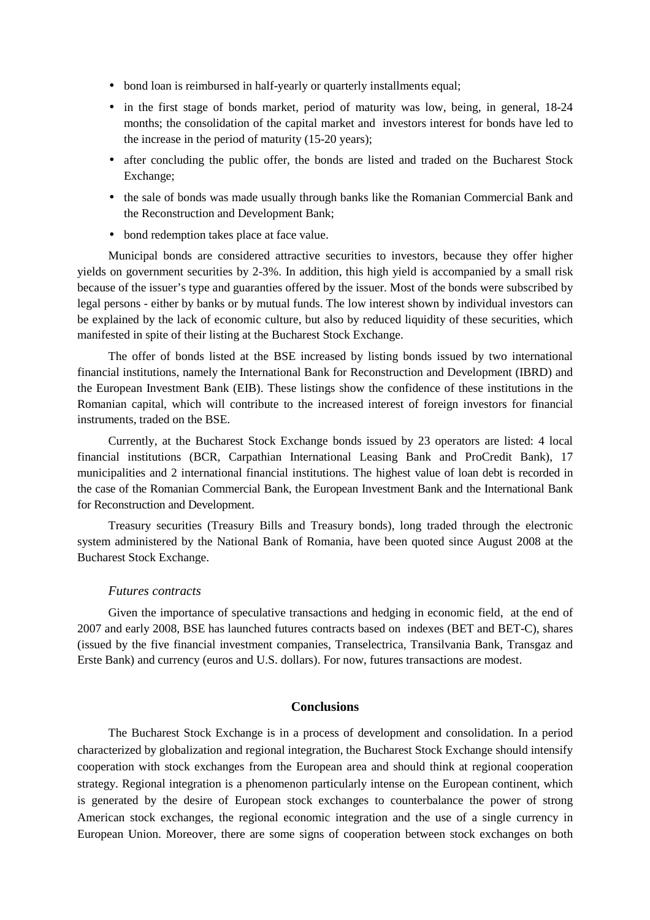- bond loan is reimbursed in half-yearly or quarterly installments equal;
- in the first stage of bonds market, period of maturity was low, being, in general, 18-24 months; the consolidation of the capital market and investors interest for bonds have led to the increase in the period of maturity (15-20 years);
- after concluding the public offer, the bonds are listed and traded on the Bucharest Stock Exchange;
- the sale of bonds was made usually through banks like the Romanian Commercial Bank and the Reconstruction and Development Bank;
- bond redemption takes place at face value.

Municipal bonds are considered attractive securities to investors, because they offer higher yields on government securities by 2-3%. In addition, this high yield is accompanied by a small risk because of the issuer's type and guaranties offered by the issuer. Most of the bonds were subscribed by legal persons - either by banks or by mutual funds. The low interest shown by individual investors can be explained by the lack of economic culture, but also by reduced liquidity of these securities, which manifested in spite of their listing at the Bucharest Stock Exchange.

The offer of bonds listed at the BSE increased by listing bonds issued by two international financial institutions, namely the International Bank for Reconstruction and Development (IBRD) and the European Investment Bank (EIB). These listings show the confidence of these institutions in the Romanian capital, which will contribute to the increased interest of foreign investors for financial instruments, traded on the BSE.

Currently, at the Bucharest Stock Exchange bonds issued by 23 operators are listed: 4 local financial institutions (BCR, Carpathian International Leasing Bank and ProCredit Bank), 17 municipalities and 2 international financial institutions. The highest value of loan debt is recorded in the case of the Romanian Commercial Bank, the European Investment Bank and the International Bank for Reconstruction and Development.

Treasury securities (Treasury Bills and Treasury bonds), long traded through the electronic system administered by the National Bank of Romania, have been quoted since August 2008 at the Bucharest Stock Exchange.

#### *Futures contracts*

Given the importance of speculative transactions and hedging in economic field, at the end of 2007 and early 2008, BSE has launched futures contracts based on indexes (BET and BET-C), shares (issued by the five financial investment companies, Transelectrica, Transilvania Bank, Transgaz and Erste Bank) and currency (euros and U.S. dollars). For now, futures transactions are modest.

## **Conclusions**

The Bucharest Stock Exchange is in a process of development and consolidation. In a period characterized by globalization and regional integration, the Bucharest Stock Exchange should intensify cooperation with stock exchanges from the European area and should think at regional cooperation strategy. Regional integration is a phenomenon particularly intense on the European continent, which is generated by the desire of European stock exchanges to counterbalance the power of strong American stock exchanges, the regional economic integration and the use of a single currency in European Union. Moreover, there are some signs of cooperation between stock exchanges on both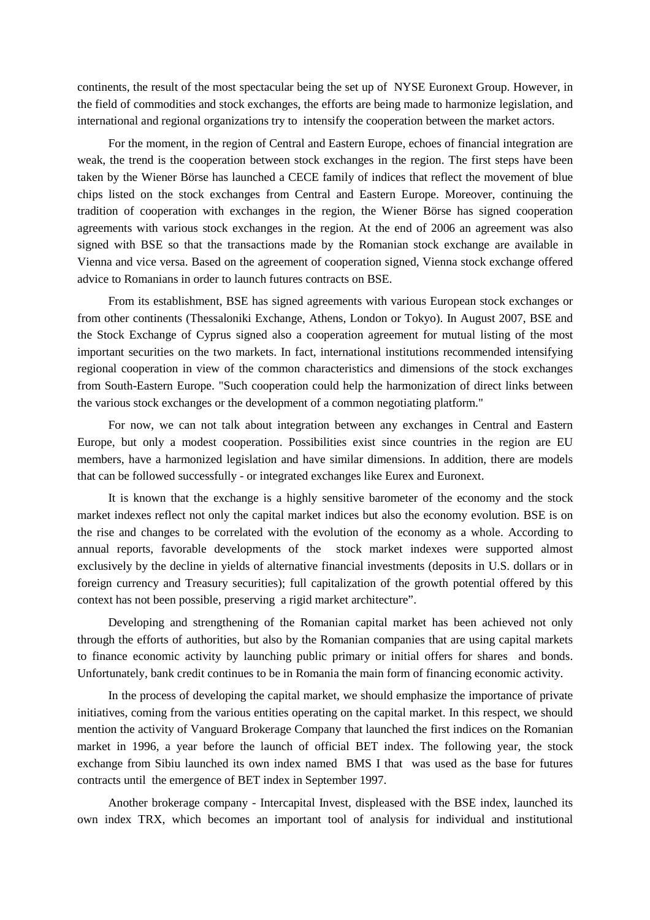continents, the result of the most spectacular being the set up of NYSE Euronext Group. However, in the field of commodities and stock exchanges, the efforts are being made to harmonize legislation, and international and regional organizations try to intensify the cooperation between the market actors.

For the moment, in the region of Central and Eastern Europe, echoes of financial integration are weak, the trend is the cooperation between stock exchanges in the region. The first steps have been taken by the Wiener Börse has launched a CECE family of indices that reflect the movement of blue chips listed on the stock exchanges from Central and Eastern Europe. Moreover, continuing the tradition of cooperation with exchanges in the region, the Wiener Börse has signed cooperation agreements with various stock exchanges in the region. At the end of 2006 an agreement was also signed with BSE so that the transactions made by the Romanian stock exchange are available in Vienna and vice versa. Based on the agreement of cooperation signed, Vienna stock exchange offered advice to Romanians in order to launch futures contracts on BSE.

From its establishment, BSE has signed agreements with various European stock exchanges or from other continents (Thessaloniki Exchange, Athens, London or Tokyo). In August 2007, BSE and the Stock Exchange of Cyprus signed also a cooperation agreement for mutual listing of the most important securities on the two markets. In fact, international institutions recommended intensifying regional cooperation in view of the common characteristics and dimensions of the stock exchanges from South-Eastern Europe. "Such cooperation could help the harmonization of direct links between the various stock exchanges or the development of a common negotiating platform."

For now, we can not talk about integration between any exchanges in Central and Eastern Europe, but only a modest cooperation. Possibilities exist since countries in the region are EU members, have a harmonized legislation and have similar dimensions. In addition, there are models that can be followed successfully - or integrated exchanges like Eurex and Euronext.

It is known that the exchange is a highly sensitive barometer of the economy and the stock market indexes reflect not only the capital market indices but also the economy evolution. BSE is on the rise and changes to be correlated with the evolution of the economy as a whole. According to annual reports, favorable developments of the stock market indexes were supported almost exclusively by the decline in yields of alternative financial investments (deposits in U.S. dollars or in foreign currency and Treasury securities); full capitalization of the growth potential offered by this context has not been possible, preserving a rigid market architecture".

Developing and strengthening of the Romanian capital market has been achieved not only through the efforts of authorities, but also by the Romanian companies that are using capital markets to finance economic activity by launching public primary or initial offers for shares and bonds. Unfortunately, bank credit continues to be in Romania the main form of financing economic activity.

In the process of developing the capital market, we should emphasize the importance of private initiatives, coming from the various entities operating on the capital market. In this respect, we should mention the activity of Vanguard Brokerage Company that launched the first indices on the Romanian market in 1996, a year before the launch of official BET index. The following year, the stock exchange from Sibiu launched its own index named BMS I that was used as the base for futures contracts until the emergence of BET index in September 1997.

Another brokerage company - Intercapital Invest, displeased with the BSE index, launched its own index TRX, which becomes an important tool of analysis for individual and institutional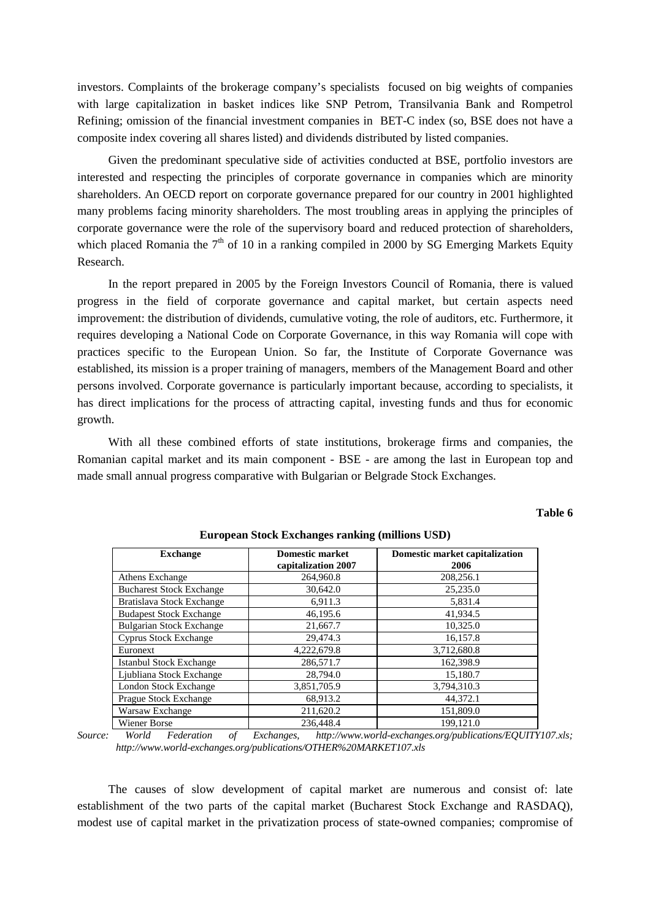investors. Complaints of the brokerage company's specialists focused on big weights of companies with large capitalization in basket indices like SNP Petrom, Transilvania Bank and Rompetrol Refining; omission of the financial investment companies in BET-C index (so, BSE does not have a composite index covering all shares listed) and dividends distributed by listed companies.

Given the predominant speculative side of activities conducted at BSE, portfolio investors are interested and respecting the principles of corporate governance in companies which are minority shareholders. An OECD report on corporate governance prepared for our country in 2001 highlighted many problems facing minority shareholders. The most troubling areas in applying the principles of corporate governance were the role of the supervisory board and reduced protection of shareholders, which placed Romania the  $7<sup>th</sup>$  of 10 in a ranking compiled in 2000 by SG Emerging Markets Equity Research.

In the report prepared in 2005 by the Foreign Investors Council of Romania, there is valued progress in the field of corporate governance and capital market, but certain aspects need improvement: the distribution of dividends, cumulative voting, the role of auditors, etc. Furthermore, it requires developing a National Code on Corporate Governance, in this way Romania will cope with practices specific to the European Union. So far, the Institute of Corporate Governance was established, its mission is a proper training of managers, members of the Management Board and other persons involved. Corporate governance is particularly important because, according to specialists, it has direct implications for the process of attracting capital, investing funds and thus for economic growth.

With all these combined efforts of state institutions, brokerage firms and companies, the Romanian capital market and its main component - BSE - are among the last in European top and made small annual progress comparative with Bulgarian or Belgrade Stock Exchanges.

# **Table 6**

| <b>Exchange</b>                 | <b>Domestic market</b><br>capitalization 2007 | Domestic market capitalization<br>2006 |
|---------------------------------|-----------------------------------------------|----------------------------------------|
| Athens Exchange                 | 264,960.8                                     | 208,256.1                              |
| <b>Bucharest Stock Exchange</b> | 30,642.0                                      | 25,235.0                               |
| Bratislava Stock Exchange       | 6,911.3                                       | 5,831.4                                |
| <b>Budapest Stock Exchange</b>  | 46,195.6                                      | 41,934.5                               |
| <b>Bulgarian Stock Exchange</b> | 21,667.7                                      | 10,325.0                               |
| <b>Cyprus Stock Exchange</b>    | 29.474.3                                      | 16,157.8                               |
| Euronext                        | 4,222,679.8                                   | 3,712,680.8                            |
| <b>Istanbul Stock Exchange</b>  | 286,571.7                                     | 162.398.9                              |
| Ljubliana Stock Exchange        | 28,794.0                                      | 15.180.7                               |
| London Stock Exchange           | 3,851,705.9                                   | 3,794,310.3                            |
| Prague Stock Exchange           | 68,913.2                                      | 44,372.1                               |
| Warsaw Exchange                 | 211,620.2                                     | 151,809.0                              |
| Wiener Borse                    | 236,448.4                                     | 199.121.0                              |

**European Stock Exchanges ranking (millions USD)** 

*Source: World Federation of Exchanges, http://www.world-exchanges.org/publications/EQUITY107.xls; http://www.world-exchanges.org/publications/OTHER%20MARKET107.xls* 

The causes of slow development of capital market are numerous and consist of: late establishment of the two parts of the capital market (Bucharest Stock Exchange and RASDAQ), modest use of capital market in the privatization process of state-owned companies; compromise of